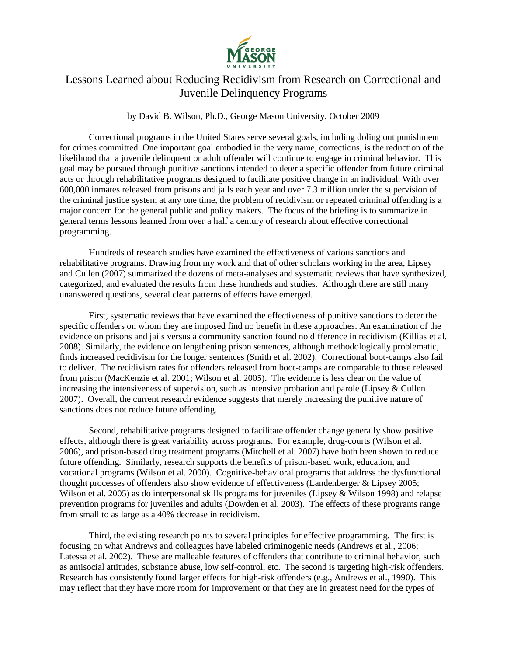

## Lessons Learned about Reducing Recidivism from Research on Correctional and Juvenile Delinquency Programs

by David B. Wilson, Ph.D., George Mason University, October 2009

Correctional programs in the United States serve several goals, including doling out punishment for crimes committed. One important goal embodied in the very name, corrections, is the reduction of the likelihood that a juvenile delinquent or adult offender will continue to engage in criminal behavior. This goal may be pursued through punitive sanctions intended to deter a specific offender from future criminal acts or through rehabilitative programs designed to facilitate positive change in an individual. With over 600,000 inmates released from prisons and jails each year and over 7.3 million under the supervision of the criminal justice system at any one time, the problem of recidivism or repeated criminal offending is a major concern for the general public and policy makers. The focus of the briefing is to summarize in general terms lessons learned from over a half a century of research about effective correctional programming.

Hundreds of research studies have examined the effectiveness of various sanctions and rehabilitative programs. Drawing from my work and that of other scholars working in the area, Lipsey and Cullen (2007) summarized the dozens of meta-analyses and systematic reviews that have synthesized, categorized, and evaluated the results from these hundreds and studies. Although there are still many unanswered questions, several clear patterns of effects have emerged.

First, systematic reviews that have examined the effectiveness of punitive sanctions to deter the specific offenders on whom they are imposed find no benefit in these approaches. An examination of the evidence on prisons and jails versus a community sanction found no difference in recidivism (Killias et al. 2008). Similarly, the evidence on lengthening prison sentences, although methodologically problematic, finds increased recidivism for the longer sentences (Smith et al. 2002). Correctional boot-camps also fail to deliver. The recidivism rates for offenders released from boot-camps are comparable to those released from prison (MacKenzie et al. 2001; Wilson et al. 2005). The evidence is less clear on the value of increasing the intensiveness of supervision, such as intensive probation and parole (Lipsey & Cullen 2007). Overall, the current research evidence suggests that merely increasing the punitive nature of sanctions does not reduce future offending.

Second, rehabilitative programs designed to facilitate offender change generally show positive effects, although there is great variability across programs. For example, drug-courts (Wilson et al. 2006), and prison-based drug treatment programs (Mitchell et al. 2007) have both been shown to reduce future offending. Similarly, research supports the benefits of prison-based work, education, and vocational programs (Wilson et al. 2000). Cognitive-behavioral programs that address the dysfunctional thought processes of offenders also show evidence of effectiveness (Landenberger & Lipsey 2005; Wilson et al. 2005) as do interpersonal skills programs for juveniles (Lipsey & Wilson 1998) and relapse prevention programs for juveniles and adults (Dowden et al. 2003). The effects of these programs range from small to as large as a 40% decrease in recidivism.

Third, the existing research points to several principles for effective programming. The first is focusing on what Andrews and colleagues have labeled criminogenic needs (Andrews et al., 2006; Latessa et al. 2002). These are malleable features of offenders that contribute to criminal behavior, such as antisocial attitudes, substance abuse, low self-control, etc. The second is targeting high-risk offenders. Research has consistently found larger effects for high-risk offenders (e.g., Andrews et al., 1990). This may reflect that they have more room for improvement or that they are in greatest need for the types of